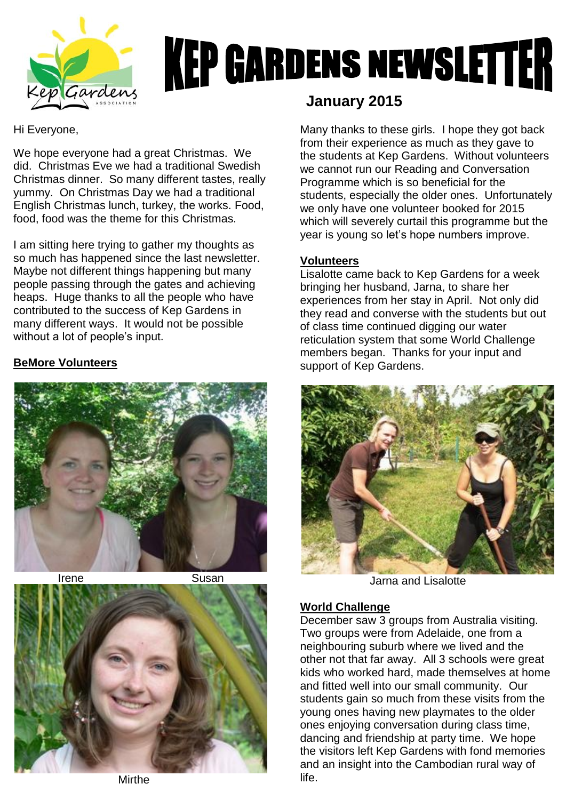

# **KEP GARDENS NEWSLETTER**

#### Hi Everyone,

We hope everyone had a great Christmas. We did. Christmas Eve we had a traditional Swedish Christmas dinner. So many different tastes, really yummy. On Christmas Day we had a traditional English Christmas lunch, turkey, the works. Food, food, food was the theme for this Christmas.

I am sitting here trying to gather my thoughts as so much has happened since the last newsletter. Maybe not different things happening but many people passing through the gates and achieving heaps. Huge thanks to all the people who have contributed to the success of Kep Gardens in many different ways. It would not be possible without a lot of people's input.

#### **BeMore Volunteers**





# **January 2015**

Many thanks to these girls. I hope they got back from their experience as much as they gave to the students at Kep Gardens. Without volunteers we cannot run our Reading and Conversation Programme which is so beneficial for the students, especially the older ones. Unfortunately we only have one volunteer booked for 2015 which will severely curtail this programme but the year is young so let's hope numbers improve.

#### **Volunteers**

Lisalotte came back to Kep Gardens for a week bringing her husband, Jarna, to share her experiences from her stay in April. Not only did they read and converse with the students but out of class time continued digging our water reticulation system that some World Challenge members began. Thanks for your input and support of Kep Gardens.



Jarna and Lisalotte

#### **World Challenge**

December saw 3 groups from Australia visiting. Two groups were from Adelaide, one from a neighbouring suburb where we lived and the other not that far away. All 3 schools were great kids who worked hard, made themselves at home and fitted well into our small community. Our students gain so much from these visits from the young ones having new playmates to the older ones enjoying conversation during class time, dancing and friendship at party time. We hope the visitors left Kep Gardens with fond memories and an insight into the Cambodian rural way of life.

**Mirthe**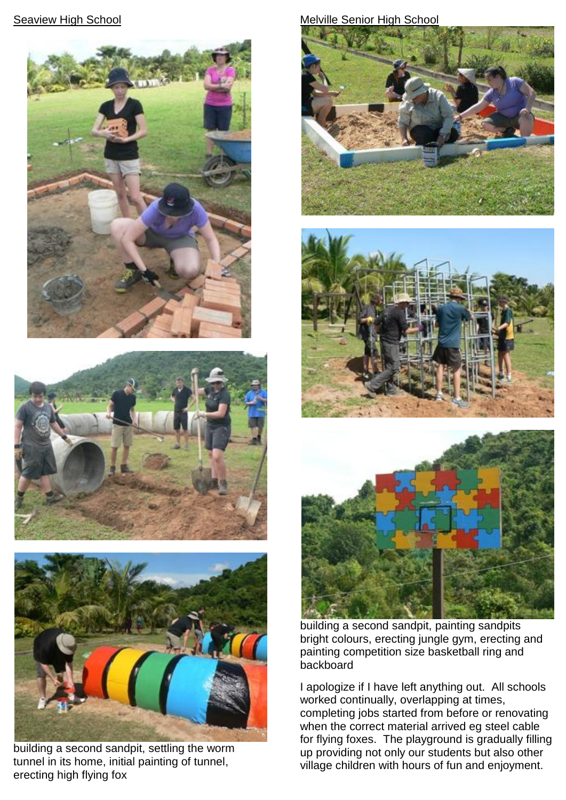### **Seaview High School**







building a second sandpit, settling the worm tunnel in its home, initial painting of tunnel, erecting high flying fox

#### Melville Senior High School







building a second sandpit, painting sandpits bright colours, erecting jungle gym, erecting and painting competition size basketball ring and backboard

I apologize if I have left anything out. All schools worked continually, overlapping at times, completing jobs started from before or renovating when the correct material arrived eg steel cable for flying foxes. The playground is gradually filling up providing not only our students but also other village children with hours of fun and enjoyment.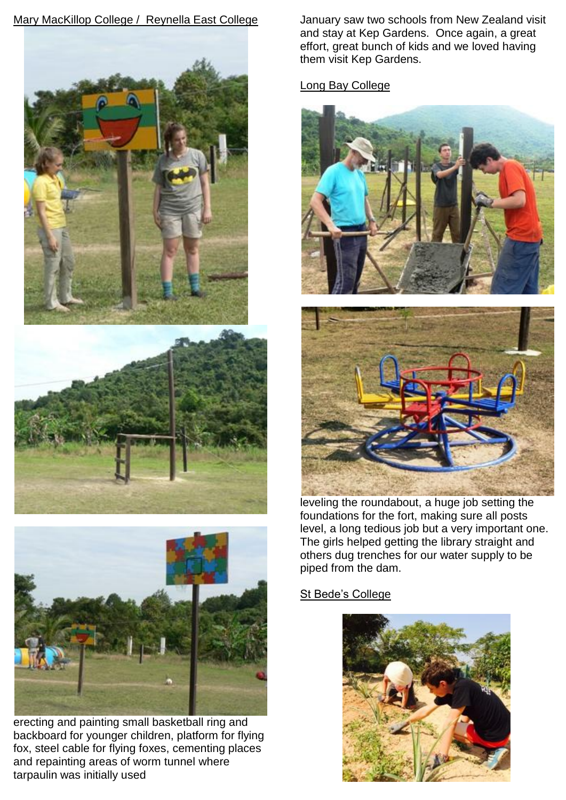## Mary MacKillop College / Reynella East College





erecting and painting small basketball ring and backboard for younger children, platform for flying fox, steel cable for flying foxes, cementing places and repainting areas of worm tunnel where tarpaulin was initially used

January saw two schools from New Zealand visit and stay at Kep Gardens. Once again, a great effort, great bunch of kids and we loved having them visit Kep Gardens.

Long Bay College





leveling the roundabout, a huge job setting the foundations for the fort, making sure all posts level, a long tedious job but a very important one. The girls helped getting the library straight and others dug trenches for our water supply to be piped from the dam.

#### St Bede's College

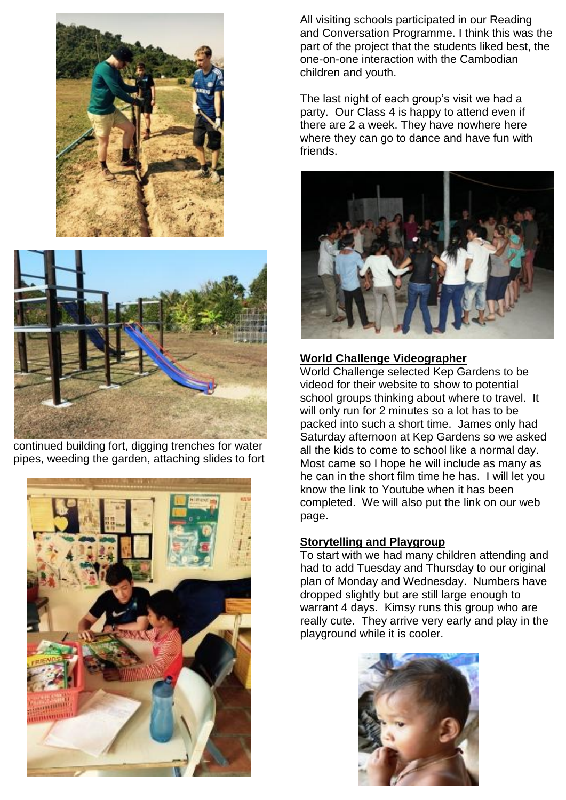



continued building fort, digging trenches for water pipes, weeding the garden, attaching slides to fort



All visiting schools participated in our Reading and Conversation Programme. I think this was the part of the project that the students liked best, the one-on-one interaction with the Cambodian children and youth.

The last night of each group's visit we had a party. Our Class 4 is happy to attend even if there are 2 a week. They have nowhere here where they can go to dance and have fun with friends.



#### **World Challenge Videographer**

World Challenge selected Kep Gardens to be videod for their website to show to potential school groups thinking about where to travel. It will only run for 2 minutes so a lot has to be packed into such a short time. James only had Saturday afternoon at Kep Gardens so we asked all the kids to come to school like a normal day. Most came so I hope he will include as many as he can in the short film time he has. I will let you know the link to Youtube when it has been completed. We will also put the link on our web page.

#### **Storytelling and Playgroup**

To start with we had many children attending and had to add Tuesday and Thursday to our original plan of Monday and Wednesday. Numbers have dropped slightly but are still large enough to warrant 4 days. Kimsy runs this group who are really cute. They arrive very early and play in the playground while it is cooler.

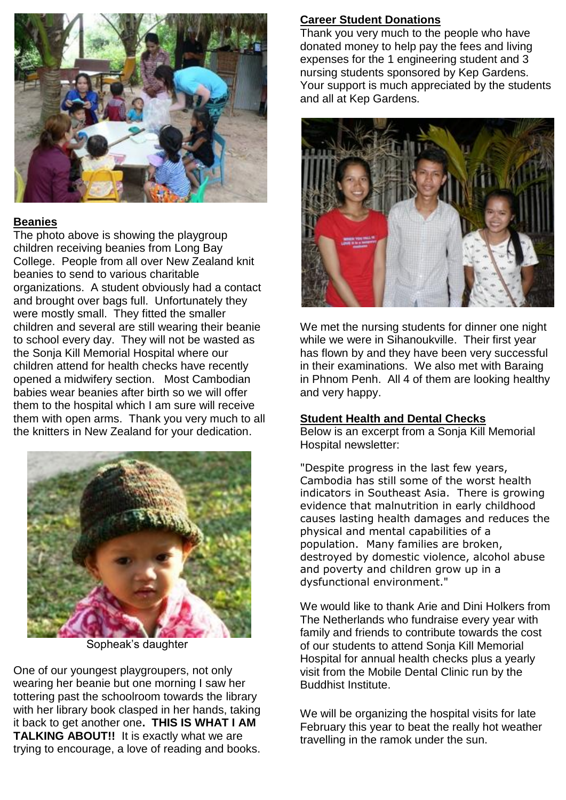

#### **Beanies**

The photo above is showing the playgroup children receiving beanies from Long Bay College. People from all over New Zealand knit beanies to send to various charitable organizations. A student obviously had a contact and brought over bags full. Unfortunately they were mostly small. They fitted the smaller children and several are still wearing their beanie to school every day. They will not be wasted as the Sonja Kill Memorial Hospital where our children attend for health checks have recently opened a midwifery section. Most Cambodian babies wear beanies after birth so we will offer them to the hospital which I am sure will receive them with open arms. Thank you very much to all the knitters in New Zealand for your dedication.



Sopheak's daughter

One of our youngest playgroupers, not only wearing her beanie but one morning I saw her tottering past the schoolroom towards the library with her library book clasped in her hands, taking it back to get another one**. THIS IS WHAT I AM TALKING ABOUT!!** It is exactly what we are trying to encourage, a love of reading and books.

#### **Career Student Donations**

Thank you very much to the people who have donated money to help pay the fees and living expenses for the 1 engineering student and 3 nursing students sponsored by Kep Gardens. Your support is much appreciated by the students and all at Kep Gardens.



We met the nursing students for dinner one night while we were in Sihanoukville. Their first year has flown by and they have been very successful in their examinations. We also met with Baraing in Phnom Penh. All 4 of them are looking healthy and very happy.

#### **Student Health and Dental Checks**

Below is an excerpt from a Sonja Kill Memorial Hospital newsletter:

"Despite progress in the last few years, Cambodia has still some of the worst health indicators in Southeast Asia. There is growing evidence that malnutrition in early childhood causes lasting health damages and reduces the physical and mental capabilities of a population. Many families are broken, destroyed by domestic violence, alcohol abuse and poverty and children grow up in a dysfunctional environment."

We would like to thank Arie and Dini Holkers from The Netherlands who fundraise every year with family and friends to contribute towards the cost of our students to attend Sonja Kill Memorial Hospital for annual health checks plus a yearly visit from the Mobile Dental Clinic run by the Buddhist Institute.

We will be organizing the hospital visits for late February this year to beat the really hot weather travelling in the ramok under the sun.